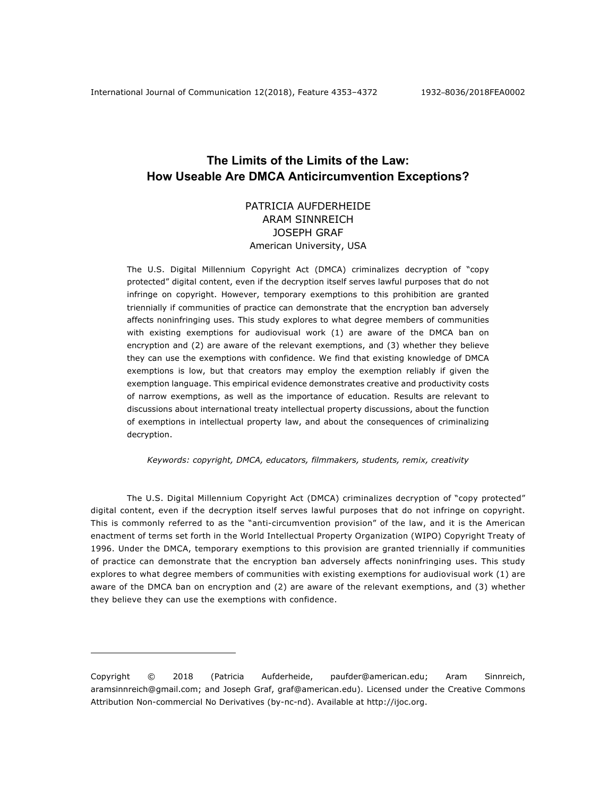# **The Limits of the Limits of the Law: How Useable Are DMCA Anticircumvention Exceptions?**

# PATRICIA AUFDERHEIDE ARAM SINNREICH JOSEPH GRAF American University, USA

The U.S. Digital Millennium Copyright Act (DMCA) criminalizes decryption of "copy protected" digital content, even if the decryption itself serves lawful purposes that do not infringe on copyright. However, temporary exemptions to this prohibition are granted triennially if communities of practice can demonstrate that the encryption ban adversely affects noninfringing uses. This study explores to what degree members of communities with existing exemptions for audiovisual work (1) are aware of the DMCA ban on encryption and (2) are aware of the relevant exemptions, and (3) whether they believe they can use the exemptions with confidence. We find that existing knowledge of DMCA exemptions is low, but that creators may employ the exemption reliably if given the exemption language. This empirical evidence demonstrates creative and productivity costs of narrow exemptions, as well as the importance of education. Results are relevant to discussions about international treaty intellectual property discussions, about the function of exemptions in intellectual property law, and about the consequences of criminalizing decryption.

*Keywords: copyright, DMCA, educators, filmmakers, students, remix, creativity*

The U.S. Digital Millennium Copyright Act (DMCA) criminalizes decryption of "copy protected" digital content, even if the decryption itself serves lawful purposes that do not infringe on copyright. This is commonly referred to as the "anti-circumvention provision" of the law, and it is the American enactment of terms set forth in the World Intellectual Property Organization (WIPO) Copyright Treaty of 1996. Under the DMCA, temporary exemptions to this provision are granted triennially if communities of practice can demonstrate that the encryption ban adversely affects noninfringing uses. This study explores to what degree members of communities with existing exemptions for audiovisual work (1) are aware of the DMCA ban on encryption and (2) are aware of the relevant exemptions, and (3) whether they believe they can use the exemptions with confidence.

1

Copyright © 2018 (Patricia Aufderheide, paufder@american.edu; Aram Sinnreich, aramsinnreich@gmail.com; and Joseph Graf, graf@american.edu). Licensed under the Creative Commons Attribution Non-commercial No Derivatives (by-nc-nd). Available at http://ijoc.org.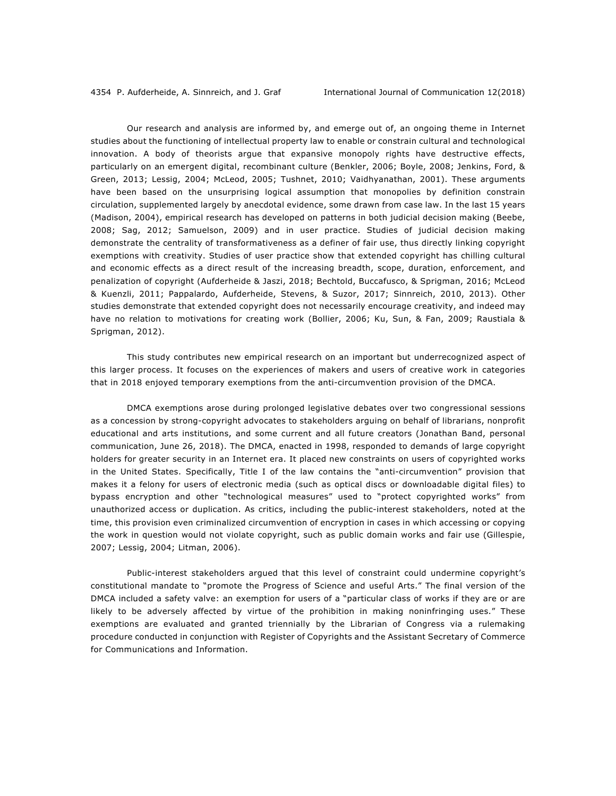Our research and analysis are informed by, and emerge out of, an ongoing theme in Internet studies about the functioning of intellectual property law to enable or constrain cultural and technological innovation. A body of theorists argue that expansive monopoly rights have destructive effects, particularly on an emergent digital, recombinant culture (Benkler, 2006; Boyle, 2008; Jenkins, Ford, & Green, 2013; Lessig, 2004; McLeod, 2005; Tushnet, 2010; Vaidhyanathan, 2001). These arguments have been based on the unsurprising logical assumption that monopolies by definition constrain circulation, supplemented largely by anecdotal evidence, some drawn from case law. In the last 15 years (Madison, 2004), empirical research has developed on patterns in both judicial decision making (Beebe, 2008; Sag, 2012; Samuelson, 2009) and in user practice. Studies of judicial decision making demonstrate the centrality of transformativeness as a definer of fair use, thus directly linking copyright exemptions with creativity. Studies of user practice show that extended copyright has chilling cultural and economic effects as a direct result of the increasing breadth, scope, duration, enforcement, and penalization of copyright (Aufderheide & Jaszi, 2018; Bechtold, Buccafusco, & Sprigman, 2016; McLeod & Kuenzli, 2011; Pappalardo, Aufderheide, Stevens, & Suzor, 2017; Sinnreich, 2010, 2013). Other studies demonstrate that extended copyright does not necessarily encourage creativity, and indeed may have no relation to motivations for creating work (Bollier, 2006; Ku, Sun, & Fan, 2009; Raustiala & Sprigman, 2012).

This study contributes new empirical research on an important but underrecognized aspect of this larger process. It focuses on the experiences of makers and users of creative work in categories that in 2018 enjoyed temporary exemptions from the anti-circumvention provision of the DMCA.

DMCA exemptions arose during prolonged legislative debates over two congressional sessions as a concession by strong-copyright advocates to stakeholders arguing on behalf of librarians, nonprofit educational and arts institutions, and some current and all future creators (Jonathan Band, personal communication, June 26, 2018). The DMCA, enacted in 1998, responded to demands of large copyright holders for greater security in an Internet era. It placed new constraints on users of copyrighted works in the United States. Specifically, Title I of the law contains the "anti-circumvention" provision that makes it a felony for users of electronic media (such as optical discs or downloadable digital files) to bypass encryption and other "technological measures" used to "protect copyrighted works" from unauthorized access or duplication. As critics, including the public-interest stakeholders, noted at the time, this provision even criminalized circumvention of encryption in cases in which accessing or copying the work in question would not violate copyright, such as public domain works and fair use (Gillespie, 2007; Lessig, 2004; Litman, 2006).

Public-interest stakeholders argued that this level of constraint could undermine copyright's constitutional mandate to "promote the Progress of Science and useful Arts." The final version of the DMCA included a safety valve: an exemption for users of a "particular class of works if they are or are likely to be adversely affected by virtue of the prohibition in making noninfringing uses." These exemptions are evaluated and granted triennially by the Librarian of Congress via a rulemaking procedure conducted in conjunction with Register of Copyrights and the Assistant Secretary of Commerce for Communications and Information.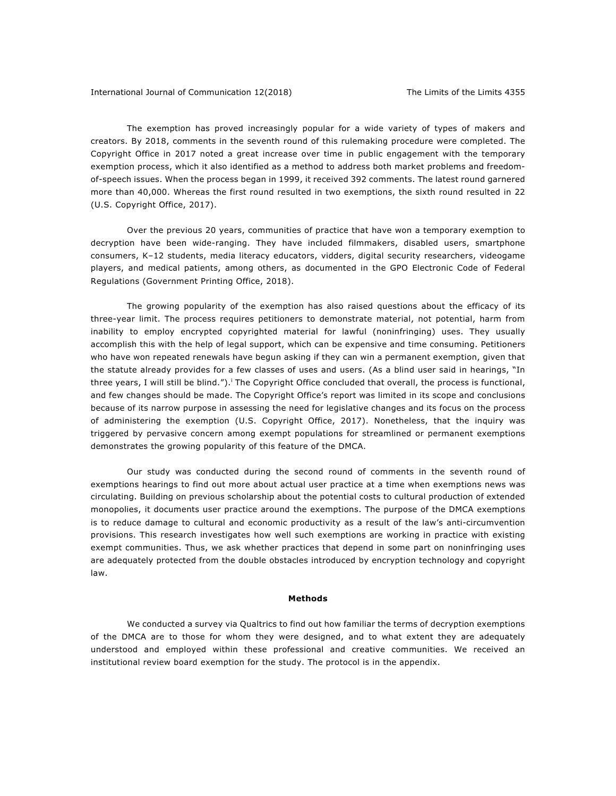The exemption has proved increasingly popular for a wide variety of types of makers and creators. By 2018, comments in the seventh round of this rulemaking procedure were completed. The Copyright Office in 2017 noted a great increase over time in public engagement with the temporary exemption process, which it also identified as a method to address both market problems and freedomof-speech issues. When the process began in 1999, it received 392 comments. The latest round garnered more than 40,000. Whereas the first round resulted in two exemptions, the sixth round resulted in 22 (U.S. Copyright Office, 2017).

Over the previous 20 years, communities of practice that have won a temporary exemption to decryption have been wide-ranging. They have included filmmakers, disabled users, smartphone consumers, K–12 students, media literacy educators, vidders, digital security researchers, videogame players, and medical patients, among others, as documented in the GPO Electronic Code of Federal Regulations (Government Printing Office, 2018).

The growing popularity of the exemption has also raised questions about the efficacy of its three-year limit. The process requires petitioners to demonstrate material, not potential, harm from inability to employ encrypted copyrighted material for lawful (noninfringing) uses. They usually accomplish this with the help of legal support, which can be expensive and time consuming. Petitioners who have won repeated renewals have begun asking if they can win a permanent exemption, given that the statute already provides for a few classes of uses and users. (As a blind user said in hearings, "In three years, I will still be blind.").<sup>i</sup> The Copyright Office concluded that overall, the process is functional, and few changes should be made. The Copyright Office's report was limited in its scope and conclusions because of its narrow purpose in assessing the need for legislative changes and its focus on the process of administering the exemption (U.S. Copyright Office, 2017). Nonetheless, that the inquiry was triggered by pervasive concern among exempt populations for streamlined or permanent exemptions demonstrates the growing popularity of this feature of the DMCA.

Our study was conducted during the second round of comments in the seventh round of exemptions hearings to find out more about actual user practice at a time when exemptions news was circulating. Building on previous scholarship about the potential costs to cultural production of extended monopolies, it documents user practice around the exemptions. The purpose of the DMCA exemptions is to reduce damage to cultural and economic productivity as a result of the law's anti-circumvention provisions. This research investigates how well such exemptions are working in practice with existing exempt communities. Thus, we ask whether practices that depend in some part on noninfringing uses are adequately protected from the double obstacles introduced by encryption technology and copyright law.

## **Methods**

We conducted a survey via Qualtrics to find out how familiar the terms of decryption exemptions of the DMCA are to those for whom they were designed, and to what extent they are adequately understood and employed within these professional and creative communities. We received an institutional review board exemption for the study. The protocol is in the appendix.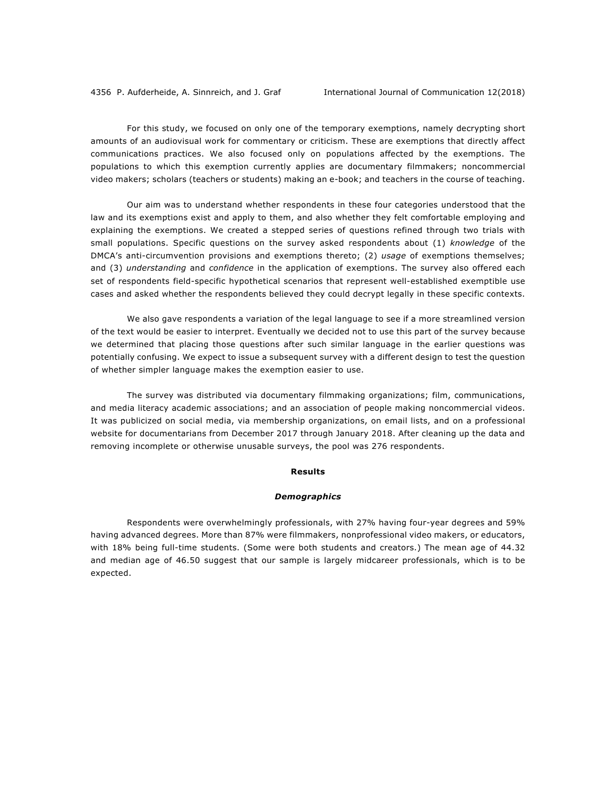For this study, we focused on only one of the temporary exemptions, namely decrypting short amounts of an audiovisual work for commentary or criticism. These are exemptions that directly affect communications practices. We also focused only on populations affected by the exemptions. The populations to which this exemption currently applies are documentary filmmakers; noncommercial video makers; scholars (teachers or students) making an e-book; and teachers in the course of teaching.

Our aim was to understand whether respondents in these four categories understood that the law and its exemptions exist and apply to them, and also whether they felt comfortable employing and explaining the exemptions. We created a stepped series of questions refined through two trials with small populations. Specific questions on the survey asked respondents about (1) *knowledge* of the DMCA's anti-circumvention provisions and exemptions thereto; (2) *usage* of exemptions themselves; and (3) *understanding* and *confidence* in the application of exemptions. The survey also offered each set of respondents field-specific hypothetical scenarios that represent well-established exemptible use cases and asked whether the respondents believed they could decrypt legally in these specific contexts.

We also gave respondents a variation of the legal language to see if a more streamlined version of the text would be easier to interpret. Eventually we decided not to use this part of the survey because we determined that placing those questions after such similar language in the earlier questions was potentially confusing. We expect to issue a subsequent survey with a different design to test the question of whether simpler language makes the exemption easier to use.

The survey was distributed via documentary filmmaking organizations; film, communications, and media literacy academic associations; and an association of people making noncommercial videos. It was publicized on social media, via membership organizations, on email lists, and on a professional website for documentarians from December 2017 through January 2018. After cleaning up the data and removing incomplete or otherwise unusable surveys, the pool was 276 respondents.

#### **Results**

## *Demographics*

Respondents were overwhelmingly professionals, with 27% having four-year degrees and 59% having advanced degrees. More than 87% were filmmakers, nonprofessional video makers, or educators, with 18% being full-time students. (Some were both students and creators.) The mean age of 44.32 and median age of 46.50 suggest that our sample is largely midcareer professionals, which is to be expected.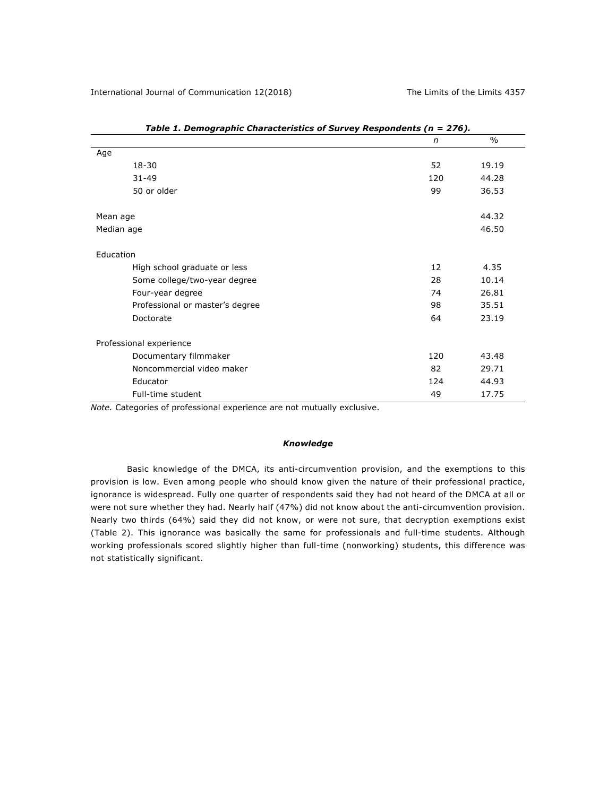| $\sim$ , $\sim$ $\sim$ $\sim$ $\sim$ $\sim$ $\sim$ | n   | $\%$  |  |  |  |
|----------------------------------------------------|-----|-------|--|--|--|
| Age                                                |     |       |  |  |  |
| 18-30                                              | 52  | 19.19 |  |  |  |
| $31 - 49$                                          | 120 | 44.28 |  |  |  |
| 50 or older                                        | 99  | 36.53 |  |  |  |
| Mean age                                           |     | 44.32 |  |  |  |
| Median age                                         |     | 46.50 |  |  |  |
| Education                                          |     |       |  |  |  |
| High school graduate or less                       | 12  | 4.35  |  |  |  |
| Some college/two-year degree                       | 28  | 10.14 |  |  |  |
| Four-year degree                                   | 74  | 26.81 |  |  |  |
| Professional or master's degree                    | 98  | 35.51 |  |  |  |
| Doctorate                                          | 64  | 23.19 |  |  |  |
| Professional experience                            |     |       |  |  |  |
| Documentary filmmaker                              | 120 | 43.48 |  |  |  |
| Noncommercial video maker                          | 82  | 29.71 |  |  |  |
| Educator                                           | 124 | 44.93 |  |  |  |
| Full-time student                                  | 49  | 17.75 |  |  |  |

|  | Table 1. Demographic Characteristics of Survey Respondents (n = 276). |  |  |
|--|-----------------------------------------------------------------------|--|--|
|  |                                                                       |  |  |

*Note.* Categories of professional experience are not mutually exclusive.

## *Knowledge*

Basic knowledge of the DMCA, its anti-circumvention provision, and the exemptions to this provision is low. Even among people who should know given the nature of their professional practice, ignorance is widespread. Fully one quarter of respondents said they had not heard of the DMCA at all or were not sure whether they had. Nearly half (47%) did not know about the anti-circumvention provision. Nearly two thirds (64%) said they did not know, or were not sure, that decryption exemptions exist (Table 2). This ignorance was basically the same for professionals and full-time students. Although working professionals scored slightly higher than full-time (nonworking) students, this difference was not statistically significant.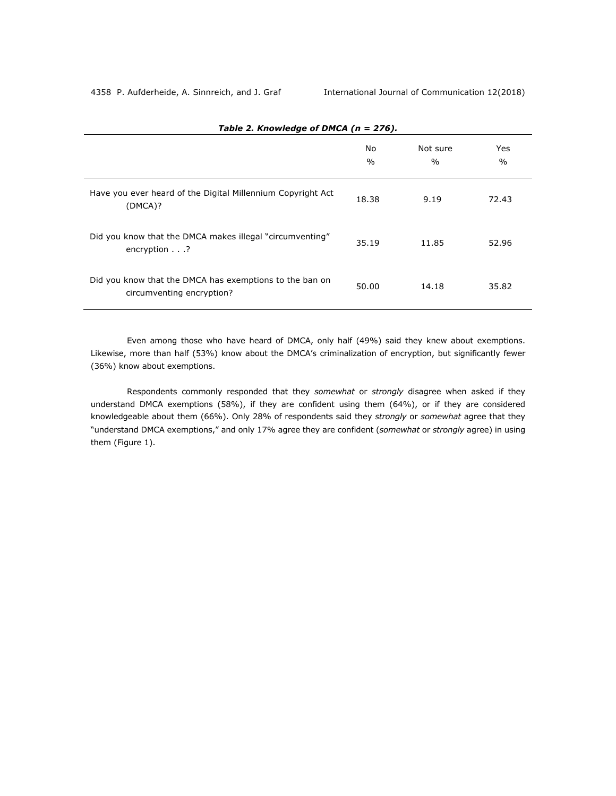|                                                                                      | No<br>$\frac{0}{0}$ | Not sure<br>$\frac{0}{0}$ | Yes<br>$\frac{0}{0}$ |
|--------------------------------------------------------------------------------------|---------------------|---------------------------|----------------------|
| Have you ever heard of the Digital Millennium Copyright Act<br>(DMCA)?               | 18.38               | 9.19                      | 72.43                |
| Did you know that the DMCA makes illegal "circumventing"<br>encryption $\ldots$ ?    | 35.19               | 11.85                     | 52.96                |
| Did you know that the DMCA has exemptions to the ban on<br>circumventing encryption? | 50.00               | 14.18                     | 35.82                |

*Table 2. Knowledge of DMCA (n = 276).*

Even among those who have heard of DMCA, only half (49%) said they knew about exemptions. Likewise, more than half (53%) know about the DMCA's criminalization of encryption, but significantly fewer (36%) know about exemptions.

Respondents commonly responded that they *somewhat* or *strongly* disagree when asked if they understand DMCA exemptions (58%), if they are confident using them (64%), or if they are considered knowledgeable about them (66%). Only 28% of respondents said they *strongly* or *somewhat* agree that they "understand DMCA exemptions," and only 17% agree they are confident (*somewhat* or *strongly* agree) in using them (Figure 1).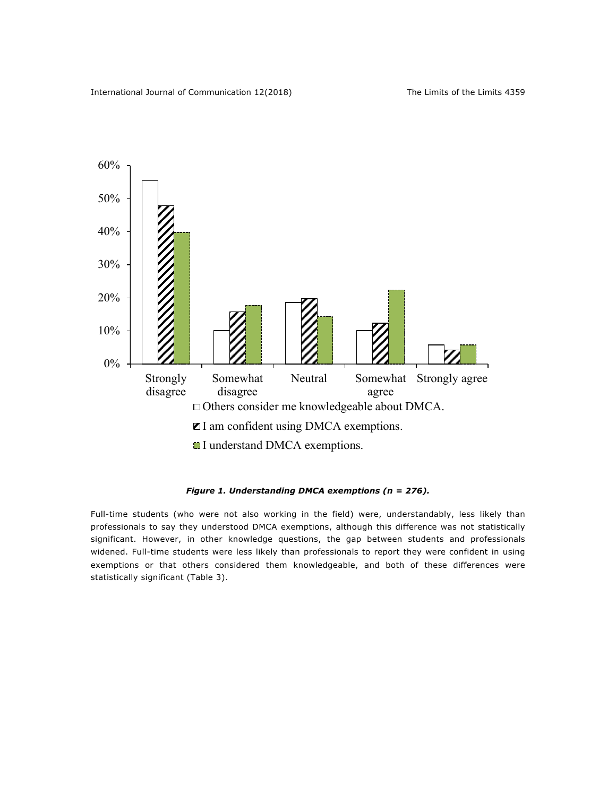

## *Figure 1. Understanding DMCA exemptions (n = 276).*

Full-time students (who were not also working in the field) were, understandably, less likely than professionals to say they understood DMCA exemptions, although this difference was not statistically significant. However, in other knowledge questions, the gap between students and professionals widened. Full-time students were less likely than professionals to report they were confident in using exemptions or that others considered them knowledgeable, and both of these differences were statistically significant (Table 3).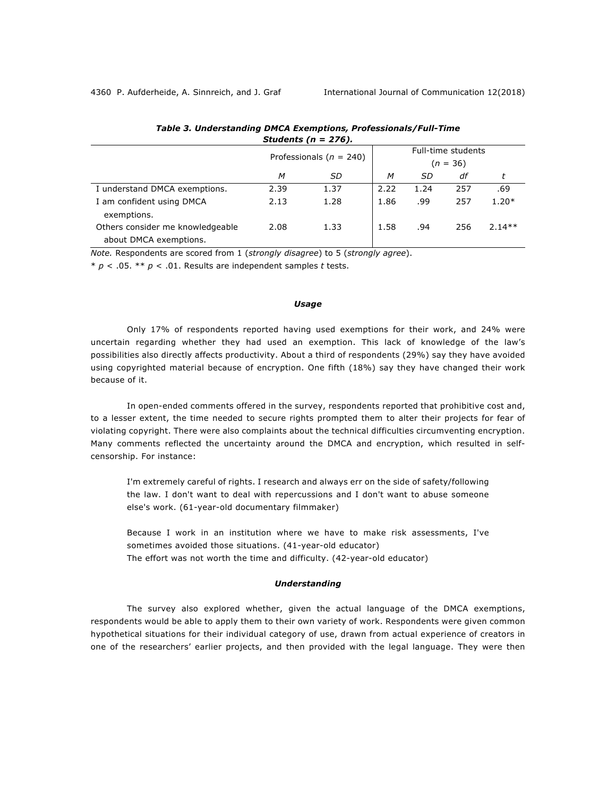|                                                            | Professionals ( $n = 240$ ) |      | Full-time students |           |     |          |  |
|------------------------------------------------------------|-----------------------------|------|--------------------|-----------|-----|----------|--|
|                                                            |                             |      | $(n = 36)$         |           |     |          |  |
|                                                            | M                           | SD   | M                  | <i>SD</i> | df  |          |  |
| I understand DMCA exemptions.                              | 2.39                        | 1.37 | 2.22               | 1.24      | 257 | .69      |  |
| I am confident using DMCA<br>exemptions.                   | 2.13                        | 1.28 | 1.86               | .99       | 257 | $1.20*$  |  |
| Others consider me knowledgeable<br>about DMCA exemptions. | 2.08                        | 1.33 | 1.58               | .94       | 256 | $2.14**$ |  |

|                         | Table 3. Understanding DMCA Exemptions, Professionals/Full-Time |
|-------------------------|-----------------------------------------------------------------|
| Students ( $n = 276$ ). |                                                                 |

*Note.* Respondents are scored from 1 (*strongly disagree*) to 5 (*strongly agree*).

\* *p* < .05. \*\* *p* < .01. Results are independent samples *t* tests.

## *Usage*

Only 17% of respondents reported having used exemptions for their work, and 24% were uncertain regarding whether they had used an exemption. This lack of knowledge of the law's possibilities also directly affects productivity. About a third of respondents (29%) say they have avoided using copyrighted material because of encryption. One fifth (18%) say they have changed their work because of it.

In open-ended comments offered in the survey, respondents reported that prohibitive cost and, to a lesser extent, the time needed to secure rights prompted them to alter their projects for fear of violating copyright. There were also complaints about the technical difficulties circumventing encryption. Many comments reflected the uncertainty around the DMCA and encryption, which resulted in selfcensorship. For instance:

I'm extremely careful of rights. I research and always err on the side of safety/following the law. I don't want to deal with repercussions and I don't want to abuse someone else's work. (61-year-old documentary filmmaker)

Because I work in an institution where we have to make risk assessments, I've sometimes avoided those situations. (41-year-old educator) The effort was not worth the time and difficulty. (42-year-old educator)

#### *Understanding*

The survey also explored whether, given the actual language of the DMCA exemptions, respondents would be able to apply them to their own variety of work. Respondents were given common hypothetical situations for their individual category of use, drawn from actual experience of creators in one of the researchers' earlier projects, and then provided with the legal language. They were then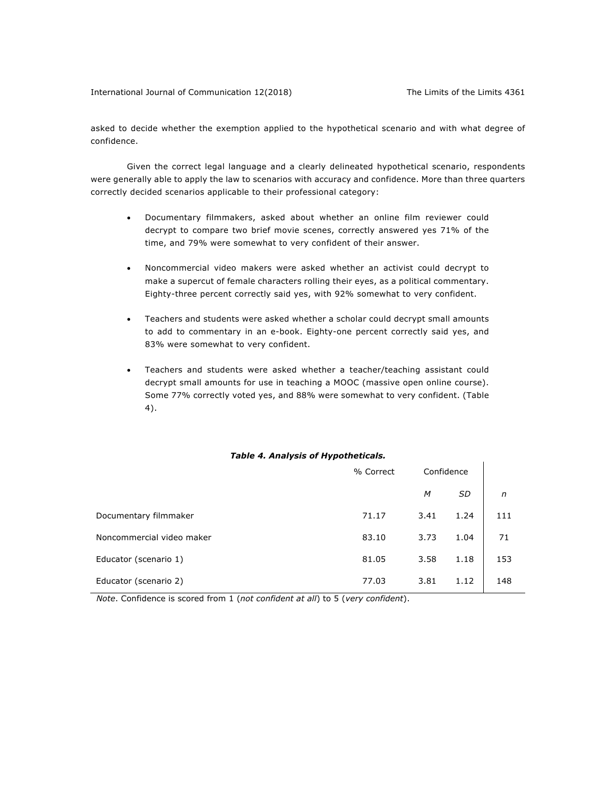$\mathbf{I}$ 

asked to decide whether the exemption applied to the hypothetical scenario and with what degree of confidence.

Given the correct legal language and a clearly delineated hypothetical scenario, respondents were generally able to apply the law to scenarios with accuracy and confidence. More than three quarters correctly decided scenarios applicable to their professional category:

- Documentary filmmakers, asked about whether an online film reviewer could decrypt to compare two brief movie scenes, correctly answered yes 71% of the time, and 79% were somewhat to very confident of their answer.
- Noncommercial video makers were asked whether an activist could decrypt to make a supercut of female characters rolling their eyes, as a political commentary. Eighty-three percent correctly said yes, with 92% somewhat to very confident.
- Teachers and students were asked whether a scholar could decrypt small amounts to add to commentary in an e-book. Eighty-one percent correctly said yes, and 83% were somewhat to very confident.
- Teachers and students were asked whether a teacher/teaching assistant could decrypt small amounts for use in teaching a MOOC (massive open online course). Some 77% correctly voted yes, and 88% were somewhat to very confident. (Table 4).

## *Table 4. Analysis of Hypotheticals.*

|                           | % Correct | Confidence |           |     |  |
|---------------------------|-----------|------------|-----------|-----|--|
|                           |           | M          | <b>SD</b> | n   |  |
| Documentary filmmaker     | 71.17     | 3.41       | 1.24      | 111 |  |
| Noncommercial video maker | 83.10     | 3.73       | 1.04      | 71  |  |
| Educator (scenario 1)     | 81.05     | 3.58       | 1.18      | 153 |  |
| Educator (scenario 2)     | 77.03     | 3.81       | 1.12      | 148 |  |

 *Note*. Confidence is scored from 1 (*not confident at all*) to 5 (*very confident*).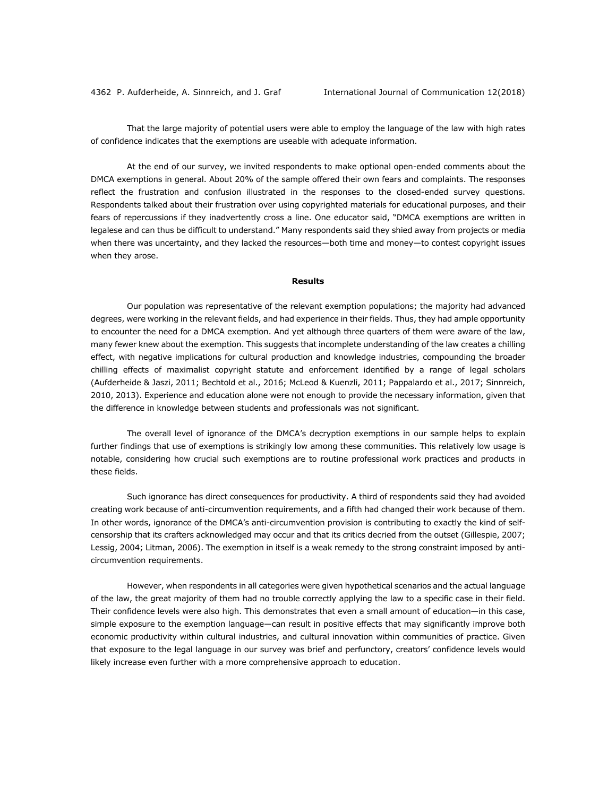That the large majority of potential users were able to employ the language of the law with high rates of confidence indicates that the exemptions are useable with adequate information.

At the end of our survey, we invited respondents to make optional open-ended comments about the DMCA exemptions in general. About 20% of the sample offered their own fears and complaints. The responses reflect the frustration and confusion illustrated in the responses to the closed-ended survey questions. Respondents talked about their frustration over using copyrighted materials for educational purposes, and their fears of repercussions if they inadvertently cross a line. One educator said, "DMCA exemptions are written in legalese and can thus be difficult to understand." Many respondents said they shied away from projects or media when there was uncertainty, and they lacked the resources-both time and money-to contest copyright issues when they arose.

## **Results**

Our population was representative of the relevant exemption populations; the majority had advanced degrees, were working in the relevant fields, and had experience in their fields. Thus, they had ample opportunity to encounter the need for a DMCA exemption. And yet although three quarters of them were aware of the law, many fewer knew about the exemption. This suggests that incomplete understanding of the law creates a chilling effect, with negative implications for cultural production and knowledge industries, compounding the broader chilling effects of maximalist copyright statute and enforcement identified by a range of legal scholars (Aufderheide & Jaszi, 2011; Bechtold et al., 2016; McLeod & Kuenzli, 2011; Pappalardo et al., 2017; Sinnreich, 2010, 2013). Experience and education alone were not enough to provide the necessary information, given that the difference in knowledge between students and professionals was not significant.

The overall level of ignorance of the DMCA's decryption exemptions in our sample helps to explain further findings that use of exemptions is strikingly low among these communities. This relatively low usage is notable, considering how crucial such exemptions are to routine professional work practices and products in these fields.

Such ignorance has direct consequences for productivity. A third of respondents said they had avoided creating work because of anti-circumvention requirements, and a fifth had changed their work because of them. In other words, ignorance of the DMCA's anti-circumvention provision is contributing to exactly the kind of selfcensorship that its crafters acknowledged may occur and that its critics decried from the outset (Gillespie, 2007; Lessig, 2004; Litman, 2006). The exemption in itself is a weak remedy to the strong constraint imposed by anticircumvention requirements.

However, when respondents in all categories were given hypothetical scenarios and the actual language of the law, the great majority of them had no trouble correctly applying the law to a specific case in their field. Their confidence levels were also high. This demonstrates that even a small amount of education—in this case, simple exposure to the exemption language—can result in positive effects that may significantly improve both economic productivity within cultural industries, and cultural innovation within communities of practice. Given that exposure to the legal language in our survey was brief and perfunctory, creators' confidence levels would likely increase even further with a more comprehensive approach to education.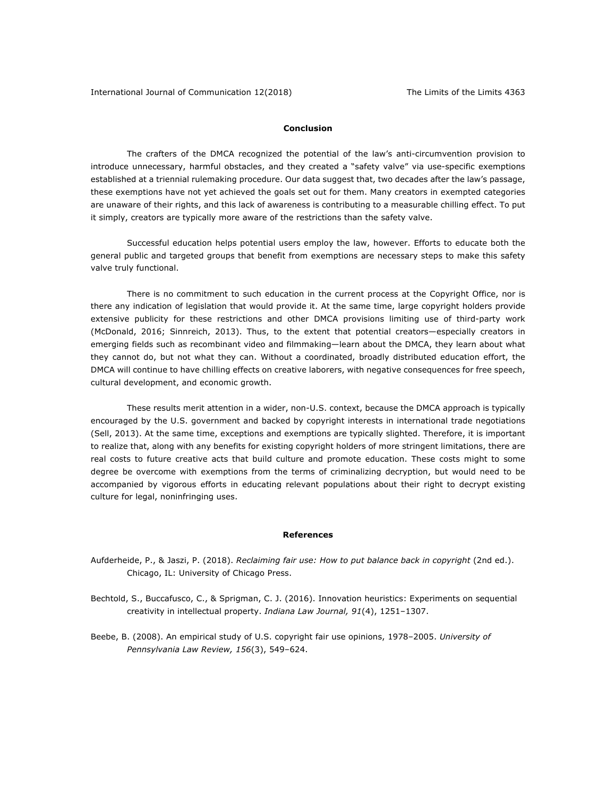## **Conclusion**

The crafters of the DMCA recognized the potential of the law's anti-circumvention provision to introduce unnecessary, harmful obstacles, and they created a "safety valve" via use-specific exemptions established at a triennial rulemaking procedure. Our data suggest that, two decades after the law's passage, these exemptions have not yet achieved the goals set out for them. Many creators in exempted categories are unaware of their rights, and this lack of awareness is contributing to a measurable chilling effect. To put it simply, creators are typically more aware of the restrictions than the safety valve.

Successful education helps potential users employ the law, however. Efforts to educate both the general public and targeted groups that benefit from exemptions are necessary steps to make this safety valve truly functional.

There is no commitment to such education in the current process at the Copyright Office, nor is there any indication of legislation that would provide it. At the same time, large copyright holders provide extensive publicity for these restrictions and other DMCA provisions limiting use of third-party work (McDonald, 2016; Sinnreich, 2013). Thus, to the extent that potential creators—especially creators in emerging fields such as recombinant video and filmmaking—learn about the DMCA, they learn about what they cannot do, but not what they can. Without a coordinated, broadly distributed education effort, the DMCA will continue to have chilling effects on creative laborers, with negative consequences for free speech, cultural development, and economic growth.

These results merit attention in a wider, non-U.S. context, because the DMCA approach is typically encouraged by the U.S. government and backed by copyright interests in international trade negotiations (Sell, 2013). At the same time, exceptions and exemptions are typically slighted. Therefore, it is important to realize that, along with any benefits for existing copyright holders of more stringent limitations, there are real costs to future creative acts that build culture and promote education. These costs might to some degree be overcome with exemptions from the terms of criminalizing decryption, but would need to be accompanied by vigorous efforts in educating relevant populations about their right to decrypt existing culture for legal, noninfringing uses.

#### **References**

- Aufderheide, P., & Jaszi, P. (2018). *Reclaiming fair use: How to put balance back in copyright* (2nd ed.). Chicago, IL: University of Chicago Press.
- Bechtold, S., Buccafusco, C., & Sprigman, C. J. (2016). Innovation heuristics: Experiments on sequential creativity in intellectual property. *Indiana Law Journal, 91*(4), 1251–1307.
- Beebe, B. (2008). An empirical study of U.S. copyright fair use opinions, 1978–2005. *University of Pennsylvania Law Review, 156*(3), 549–624.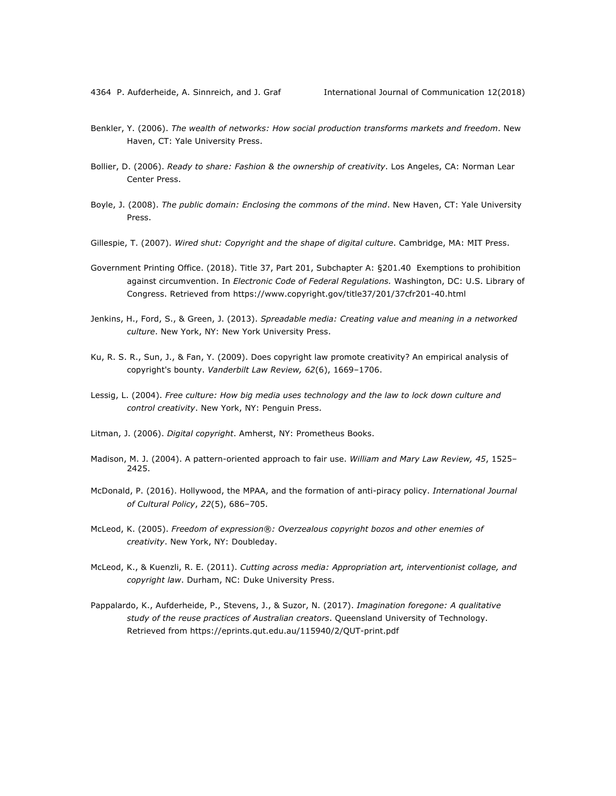- Benkler, Y. (2006). *The wealth of networks: How social production transforms markets and freedom*. New Haven, CT: Yale University Press.
- Bollier, D. (2006). *Ready to share: Fashion & the ownership of creativity*. Los Angeles, CA: Norman Lear Center Press.
- Boyle, J. (2008). *The public domain: Enclosing the commons of the mind*. New Haven, CT: Yale University Press.
- Gillespie, T. (2007). *Wired shut: Copyright and the shape of digital culture*. Cambridge, MA: MIT Press.
- Government Printing Office. (2018). Title 37, Part 201, Subchapter A: §201.40 Exemptions to prohibition against circumvention. In *Electronic Code of Federal Regulations.* Washington, DC: U.S. Library of Congress. Retrieved from https://www.copyright.gov/title37/201/37cfr201-40.html
- Jenkins, H., Ford, S., & Green, J. (2013). *Spreadable media: Creating value and meaning in a networked culture*. New York, NY: New York University Press.
- Ku, R. S. R., Sun, J., & Fan, Y. (2009). Does copyright law promote creativity? An empirical analysis of copyright's bounty. *Vanderbilt Law Review, 62*(6), 1669–1706.
- Lessig, L. (2004). *Free culture: How big media uses technology and the law to lock down culture and control creativity*. New York, NY: Penguin Press.
- Litman, J. (2006). *Digital copyright*. Amherst, NY: Prometheus Books.
- Madison, M. J. (2004). A pattern-oriented approach to fair use. *William and Mary Law Review, 45*, 1525– 2425.
- McDonald, P. (2016). Hollywood, the MPAA, and the formation of anti-piracy policy. *International Journal of Cultural Policy*, *22*(5), 686–705.
- McLeod, K. (2005). *Freedom of expression®: Overzealous copyright bozos and other enemies of creativity*. New York, NY: Doubleday.
- McLeod, K., & Kuenzli, R. E. (2011). *Cutting across media: Appropriation art, interventionist collage, and copyright law*. Durham, NC: Duke University Press.
- Pappalardo, K., Aufderheide, P., Stevens, J., & Suzor, N. (2017). *Imagination foregone: A qualitative study of the reuse practices of Australian creators*. Queensland University of Technology. Retrieved from https://eprints.qut.edu.au/115940/2/QUT-print.pdf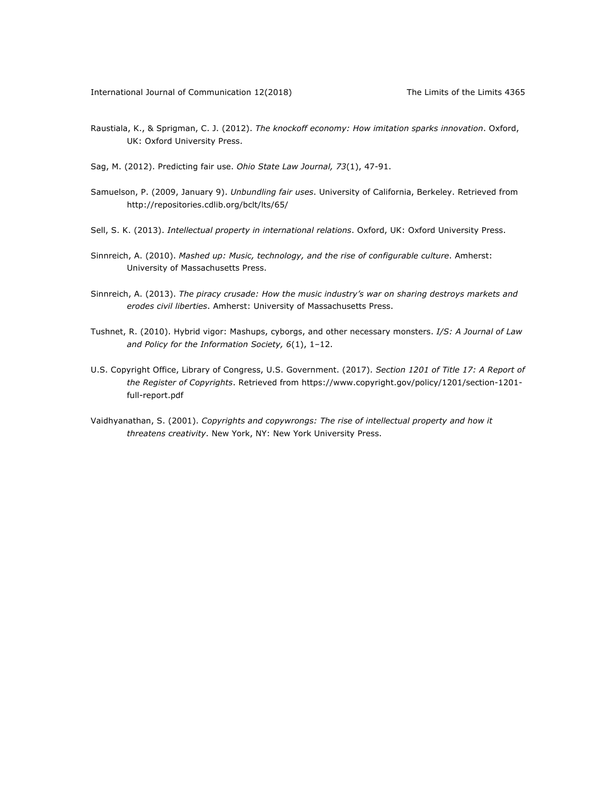- Raustiala, K., & Sprigman, C. J. (2012). *The knockoff economy: How imitation sparks innovation*. Oxford, UK: Oxford University Press.
- Sag, M. (2012). Predicting fair use. *Ohio State Law Journal, 73*(1), 47-91.
- Samuelson, P. (2009, January 9). *Unbundling fair uses*. University of California, Berkeley. Retrieved from http://repositories.cdlib.org/bclt/lts/65/
- Sell, S. K. (2013). *Intellectual property in international relations*. Oxford, UK: Oxford University Press.
- Sinnreich, A. (2010). *Mashed up: Music, technology, and the rise of configurable culture*. Amherst: University of Massachusetts Press.
- Sinnreich, A. (2013). *The piracy crusade: How the music industry's war on sharing destroys markets and erodes civil liberties*. Amherst: University of Massachusetts Press.
- Tushnet, R. (2010). Hybrid vigor: Mashups, cyborgs, and other necessary monsters. *I/S: A Journal of Law and Policy for the Information Society, 6*(1), 1–12.
- U.S. Copyright Office, Library of Congress, U.S. Government. (2017). *Section 1201 of Title 17: A Report of the Register of Copyrights*. Retrieved from https://www.copyright.gov/policy/1201/section-1201 full-report.pdf
- Vaidhyanathan, S. (2001). *Copyrights and copywrongs: The rise of intellectual property and how it threatens creativity*. New York, NY: New York University Press.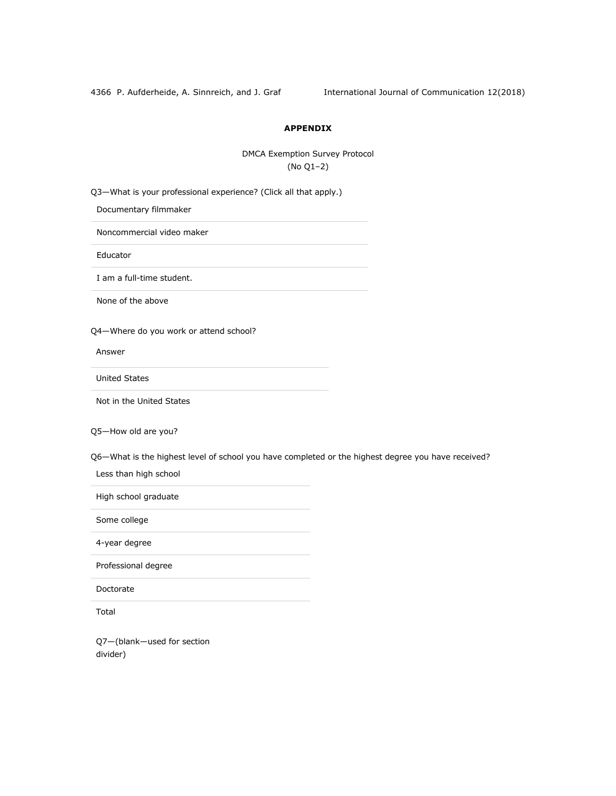4366 P. Aufderheide, A. Sinnreich, and J. Graf International Journal of Communication 12(2018)

## **APPENDIX**

DMCA Exemption Survey Protocol (No Q1–2)

Q3—What is your professional experience? (Click all that apply.)

Documentary filmmaker

Noncommercial video maker

Educator

I am a full-time student.

None of the above

Q4—Where do you work or attend school?

Answer

United States

Not in the United States

Q5—How old are you?

Q6—What is the highest level of school you have completed or the highest degree you have received?

Less than high school

High school graduate

Some college

4-year degree

Professional degree

Doctorate

Total

Q7—(blank—used for section divider)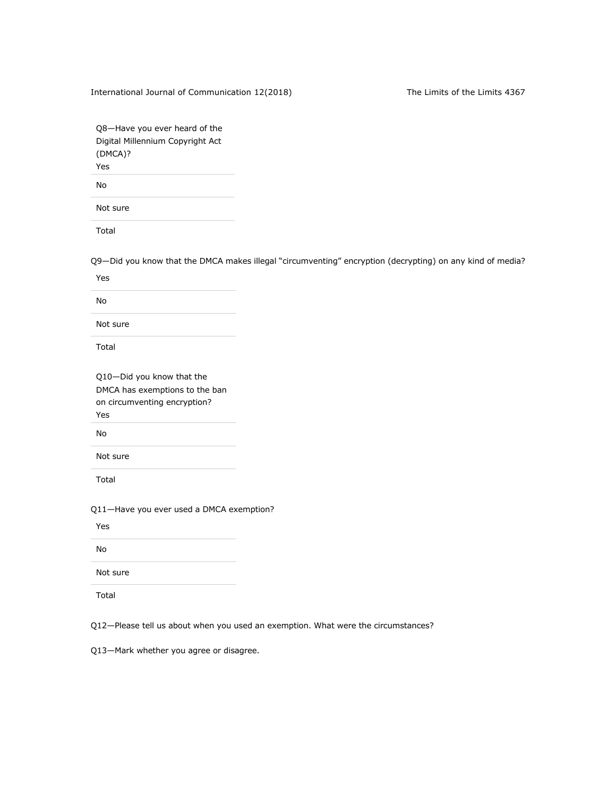International Journal of Communication 12(2018) The Limits of the Limits 4367

Q8—Have you ever heard of the Digital Millennium Copyright Act (DMCA)? Yes

No

Not sure

Total

Q9—Did you know that the DMCA makes illegal "circumventing" encryption (decrypting) on any kind of media?

Yes

No

Not sure

Total

Q10—Did you know that the DMCA has exemptions to the ban on circumventing encryption? Yes

No

Not sure

Total

Q11—Have you ever used a DMCA exemption?

Yes

No

Not sure

Total

Q12—Please tell us about when you used an exemption. What were the circumstances?

Q13—Mark whether you agree or disagree.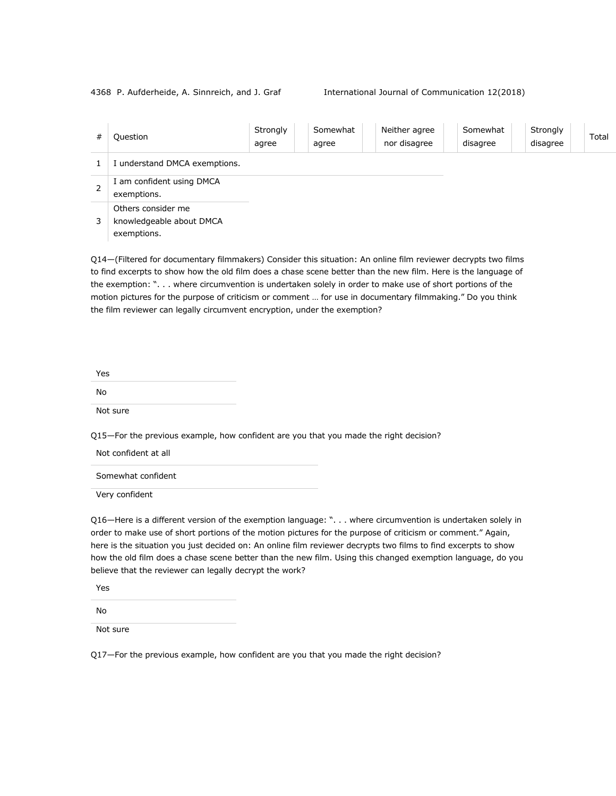4368 P. Aufderheide, A. Sinnreich, and J. Graf International Journal of Communication 12(2018)

| # | Question                                                      | Strongly<br>agree | Somewhat<br>agree | Neither agree<br>nor disagree | Somewhat<br>disagree | Strongly<br>disagree | Total |
|---|---------------------------------------------------------------|-------------------|-------------------|-------------------------------|----------------------|----------------------|-------|
|   | I understand DMCA exemptions.                                 |                   |                   |                               |                      |                      |       |
| 2 | I am confident using DMCA<br>exemptions.                      |                   |                   |                               |                      |                      |       |
| 3 | Others consider me<br>knowledgeable about DMCA<br>exemptions. |                   |                   |                               |                      |                      |       |

Q14—(Filtered for documentary filmmakers) Consider this situation: An online film reviewer decrypts two films to find excerpts to show how the old film does a chase scene better than the new film. Here is the language of the exemption: ". . . where circumvention is undertaken solely in order to make use of short portions of the motion pictures for the purpose of criticism or comment … for use in documentary filmmaking." Do you think the film reviewer can legally circumvent encryption, under the exemption?

| Yes      |  |
|----------|--|
| No       |  |
| Not sure |  |

Q15—For the previous example, how confident are you that you made the right decision?

Not confident at all

Somewhat confident

Very confident

Q16—Here is a different version of the exemption language: ". . . where circumvention is undertaken solely in order to make use of short portions of the motion pictures for the purpose of criticism or comment." Again, here is the situation you just decided on: An online film reviewer decrypts two films to find excerpts to show how the old film does a chase scene better than the new film. Using this changed exemption language, do you believe that the reviewer can legally decrypt the work?

Yes

No

Not sure

Q17—For the previous example, how confident are you that you made the right decision?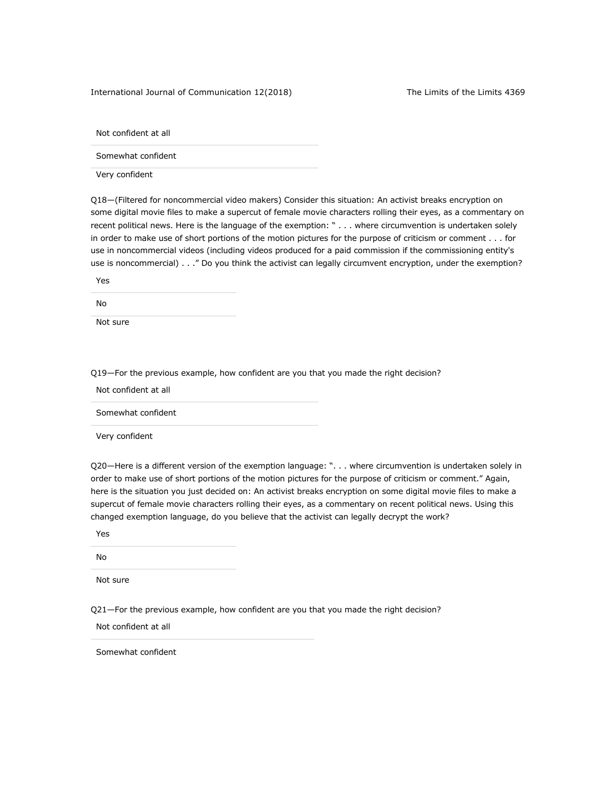International Journal of Communication 12(2018) The Limits of the Limits 4369

Not confident at all

Somewhat confident

Very confident

Q18—(Filtered for noncommercial video makers) Consider this situation: An activist breaks encryption on some digital movie files to make a supercut of female movie characters rolling their eyes, as a commentary on recent political news. Here is the language of the exemption: " . . . where circumvention is undertaken solely in order to make use of short portions of the motion pictures for the purpose of criticism or comment . . . for use in noncommercial videos (including videos produced for a paid commission if the commissioning entity's use is noncommercial) . . ." Do you think the activist can legally circumvent encryption, under the exemption?

Yes

No

Not sure

Q19—For the previous example, how confident are you that you made the right decision?

Not confident at all

Somewhat confident

Very confident

Q20—Here is a different version of the exemption language: ". . . where circumvention is undertaken solely in order to make use of short portions of the motion pictures for the purpose of criticism or comment." Again, here is the situation you just decided on: An activist breaks encryption on some digital movie files to make a supercut of female movie characters rolling their eyes, as a commentary on recent political news. Using this changed exemption language, do you believe that the activist can legally decrypt the work?

Yes

No

Not sure

Q21—For the previous example, how confident are you that you made the right decision?

Not confident at all

Somewhat confident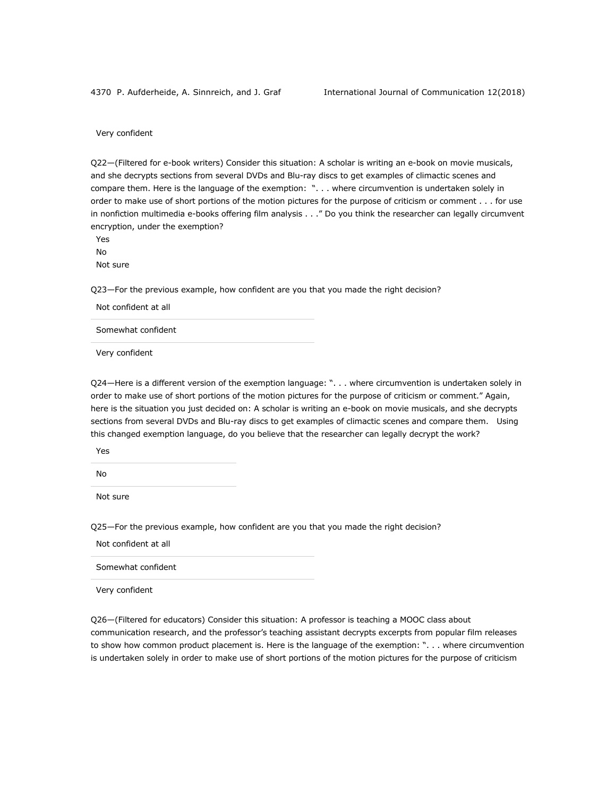Very confident

Q22—(Filtered for e-book writers) Consider this situation: A scholar is writing an e-book on movie musicals, and she decrypts sections from several DVDs and Blu-ray discs to get examples of climactic scenes and compare them. Here is the language of the exemption: ". . . where circumvention is undertaken solely in order to make use of short portions of the motion pictures for the purpose of criticism or comment . . . for use in nonfiction multimedia e-books offering film analysis . . ." Do you think the researcher can legally circumvent encryption, under the exemption?

Yes No Not sure

Q23—For the previous example, how confident are you that you made the right decision?

Not confident at all

Somewhat confident

Very confident

Q24—Here is a different version of the exemption language: ". . . where circumvention is undertaken solely in order to make use of short portions of the motion pictures for the purpose of criticism or comment." Again, here is the situation you just decided on: A scholar is writing an e-book on movie musicals, and she decrypts sections from several DVDs and Blu-ray discs to get examples of climactic scenes and compare them. Using this changed exemption language, do you believe that the researcher can legally decrypt the work?

Yes

No

Not sure

Q25—For the previous example, how confident are you that you made the right decision?

Not confident at all

Somewhat confident

Very confident

Q26—(Filtered for educators) Consider this situation: A professor is teaching a MOOC class about communication research, and the professor's teaching assistant decrypts excerpts from popular film releases to show how common product placement is. Here is the language of the exemption: ". . . where circumvention is undertaken solely in order to make use of short portions of the motion pictures for the purpose of criticism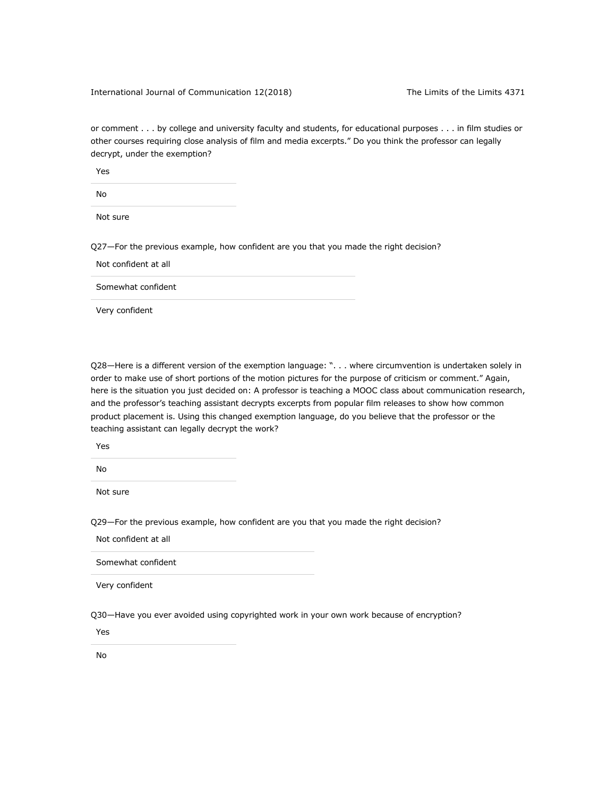#### International Journal of Communication 12(2018) The Limits of the Limits 4371

or comment . . . by college and university faculty and students, for educational purposes . . . in film studies or other courses requiring close analysis of film and media excerpts." Do you think the professor can legally decrypt, under the exemption?

Yes

No

Not sure

Q27—For the previous example, how confident are you that you made the right decision?

Not confident at all

Somewhat confident

Very confident

Q28—Here is a different version of the exemption language: ". . . where circumvention is undertaken solely in order to make use of short portions of the motion pictures for the purpose of criticism or comment." Again, here is the situation you just decided on: A professor is teaching a MOOC class about communication research, and the professor's teaching assistant decrypts excerpts from popular film releases to show how common product placement is. Using this changed exemption language, do you believe that the professor or the teaching assistant can legally decrypt the work?

Yes

No

Not sure

Q29—For the previous example, how confident are you that you made the right decision?

Not confident at all

Somewhat confident

Very confident

Q30—Have you ever avoided using copyrighted work in your own work because of encryption?

Yes

No